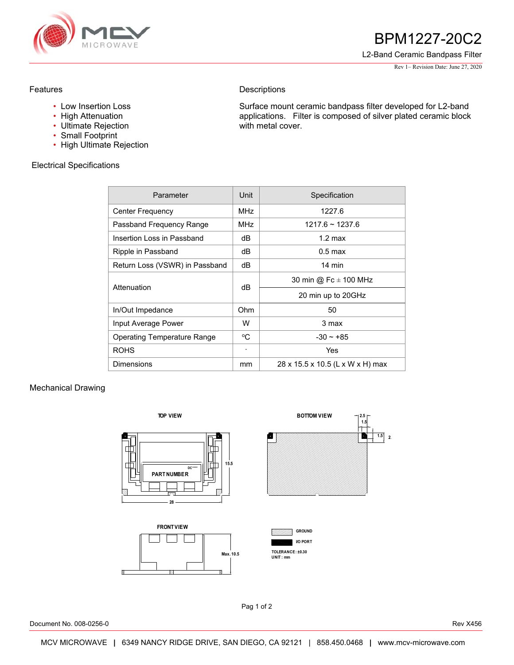

## **538** BPM1227-20C2

L2-Band Ceramic Bandpass Filter

Rev 1– Revision Date: June 27, 2020

## Features

- Low Insertion Loss
- High Attenuation
- Ultimate Rejection
- Small Footprint
- High Ultimate Rejection

Electrical Specifications

**Descriptions** 

Surface mount ceramic bandpass filter developed for L2-band applications. Filter is composed of silver plated ceramic block with metal cover.

| Parameter                      | <b>Unit</b>     | Specification                    |
|--------------------------------|-----------------|----------------------------------|
| Center Frequency               | MH <sub>7</sub> | 1227.6                           |
| Passband Frequency Range       | <b>MHz</b>      | $1217.6 \approx 1237.6$          |
| Insertion Loss in Passband     | dB              | $1.2 \text{ max}$                |
| Ripple in Passband             | dB              | $0.5 \text{ max}$                |
| Return Loss (VSWR) in Passband | dB              | $14 \text{ min}$                 |
| Attenuation                    | dB              | 30 min @ Fc $\pm$ 100 MHz        |
|                                |                 | 20 min up to 20GHz               |
| In/Out Impedance               | Ohm             | 50                               |
| Input Average Power            | W               | 3 max                            |
| Operating Temperature Range    | °C              | $-30 - +85$                      |
| <b>ROHS</b>                    |                 | Yes                              |
| <b>Dimensions</b>              | mm              | 28 x 15.5 x 10.5 (L x W x H) max |

## Mechanical Drawing



Pag 1 of 2

Document No. 008-0256-0 Rev X456